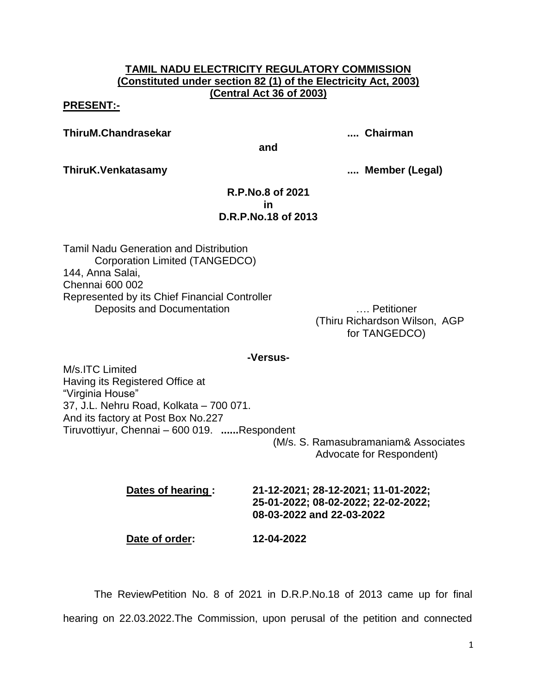# **TAMIL NADU ELECTRICITY REGULATORY COMMISSION (Constituted under section 82 (1) of the Electricity Act, 2003) (Central Act 36 of 2003)**

## **PRESENT:-**

**ThiruM.Chandrasekar .... Chairman**

**and**

**ThiruK.Venkatasamy .... Member (Legal)**

## **R.P.No.8 of 2021 in D.R.P.No.18 of 2013**

Tamil Nadu Generation and Distribution Corporation Limited (TANGEDCO) 144, Anna Salai, Chennai 600 002 Represented by its Chief Financial Controller Deposits and Documentation **Example 20** and Documentation

(Thiru Richardson Wilson, AGP for TANGEDCO)

### **-Versus-**

M/s.ITC Limited Having its Registered Office at "Virginia House" 37, J.L. Nehru Road, Kolkata – 700 071. And its factory at Post Box No.227 Tiruvottiyur, Chennai – 600 019. **......**Respondent

 (M/s. S. Ramasubramaniam& Associates Advocate for Respondent)

**Dates of hearing : 21-12-2021; 28-12-2021; 11-01-2022; 25-01-2022; 08-02-2022; 22-02-2022; 08-03-2022 and 22-03-2022** 

**Date of order: 12-04-2022**

The ReviewPetition No. 8 of 2021 in D.R.P.No.18 of 2013 came up for final hearing on 22.03.2022.The Commission, upon perusal of the petition and connected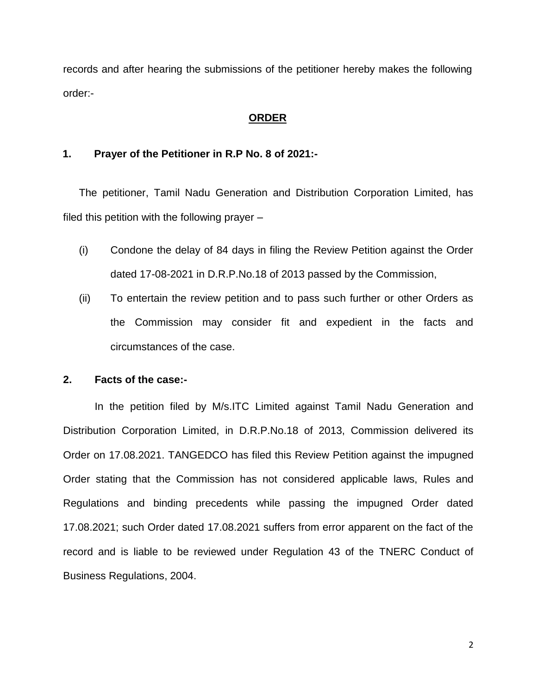records and after hearing the submissions of the petitioner hereby makes the following order:-

# **ORDER**

## **1. Prayer of the Petitioner in R.P No. 8 of 2021:-**

The petitioner, Tamil Nadu Generation and Distribution Corporation Limited, has filed this petition with the following prayer  $-$ 

- (i) Condone the delay of 84 days in filing the Review Petition against the Order dated 17-08-2021 in D.R.P.No.18 of 2013 passed by the Commission,
- (ii) To entertain the review petition and to pass such further or other Orders as the Commission may consider fit and expedient in the facts and circumstances of the case.

### **2. Facts of the case:-**

In the petition filed by M/s.ITC Limited against Tamil Nadu Generation and Distribution Corporation Limited, in D.R.P.No.18 of 2013, Commission delivered its Order on 17.08.2021. TANGEDCO has filed this Review Petition against the impugned Order stating that the Commission has not considered applicable laws, Rules and Regulations and binding precedents while passing the impugned Order dated 17.08.2021; such Order dated 17.08.2021 suffers from error apparent on the fact of the record and is liable to be reviewed under Regulation 43 of the TNERC Conduct of Business Regulations, 2004.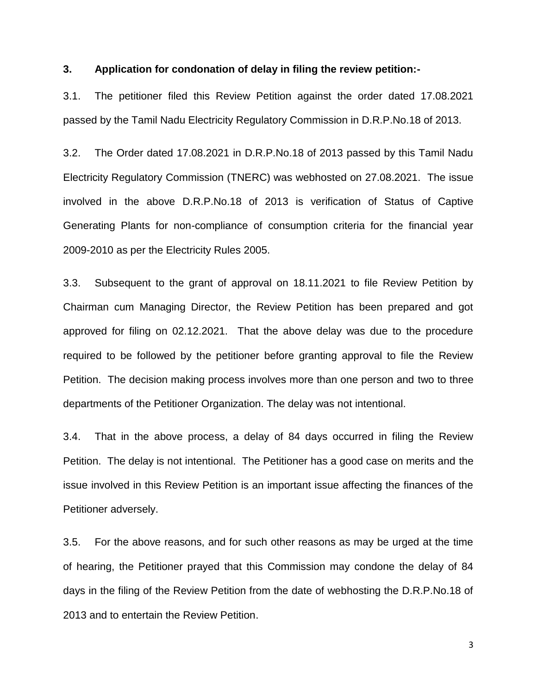### **3. Application for condonation of delay in filing the review petition:-**

3.1. The petitioner filed this Review Petition against the order dated 17.08.2021 passed by the Tamil Nadu Electricity Regulatory Commission in D.R.P.No.18 of 2013.

3.2. The Order dated 17.08.2021 in D.R.P.No.18 of 2013 passed by this Tamil Nadu Electricity Regulatory Commission (TNERC) was webhosted on 27.08.2021. The issue involved in the above D.R.P.No.18 of 2013 is verification of Status of Captive Generating Plants for non-compliance of consumption criteria for the financial year 2009-2010 as per the Electricity Rules 2005.

3.3. Subsequent to the grant of approval on 18.11.2021 to file Review Petition by Chairman cum Managing Director, the Review Petition has been prepared and got approved for filing on 02.12.2021. That the above delay was due to the procedure required to be followed by the petitioner before granting approval to file the Review Petition. The decision making process involves more than one person and two to three departments of the Petitioner Organization. The delay was not intentional.

3.4. That in the above process, a delay of 84 days occurred in filing the Review Petition. The delay is not intentional. The Petitioner has a good case on merits and the issue involved in this Review Petition is an important issue affecting the finances of the Petitioner adversely.

3.5. For the above reasons, and for such other reasons as may be urged at the time of hearing, the Petitioner prayed that this Commission may condone the delay of 84 days in the filing of the Review Petition from the date of webhosting the D.R.P.No.18 of 2013 and to entertain the Review Petition.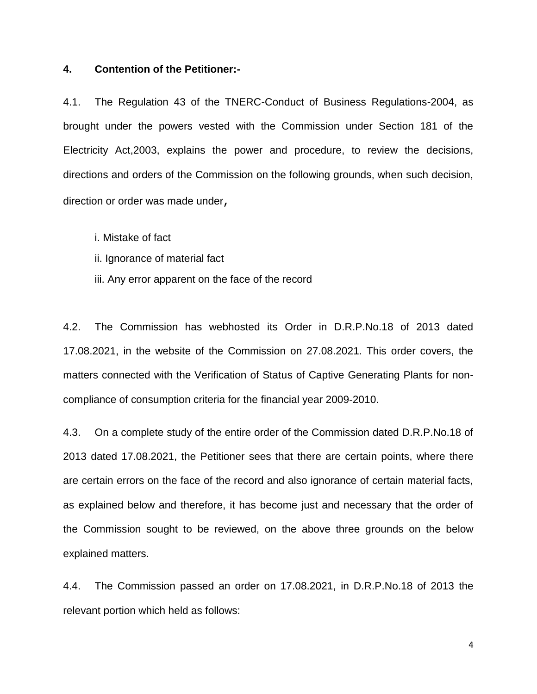### **4. Contention of the Petitioner:-**

4.1. The Regulation 43 of the TNERC-Conduct of Business Regulations-2004, as brought under the powers vested with the Commission under Section 181 of the Electricity Act,2003, explains the power and procedure, to review the decisions, directions and orders of the Commission on the following grounds, when such decision, direction or order was made under,

i. Mistake of fact

ii. Ignorance of material fact

iii. Any error apparent on the face of the record

4.2. The Commission has webhosted its Order in D.R.P.No.18 of 2013 dated 17.08.2021, in the website of the Commission on 27.08.2021. This order covers, the matters connected with the Verification of Status of Captive Generating Plants for noncompliance of consumption criteria for the financial year 2009-2010.

4.3. On a complete study of the entire order of the Commission dated D.R.P.No.18 of 2013 dated 17.08.2021, the Petitioner sees that there are certain points, where there are certain errors on the face of the record and also ignorance of certain material facts, as explained below and therefore, it has become just and necessary that the order of the Commission sought to be reviewed, on the above three grounds on the below explained matters.

4.4. The Commission passed an order on 17.08.2021, in D.R.P.No.18 of 2013 the relevant portion which held as follows: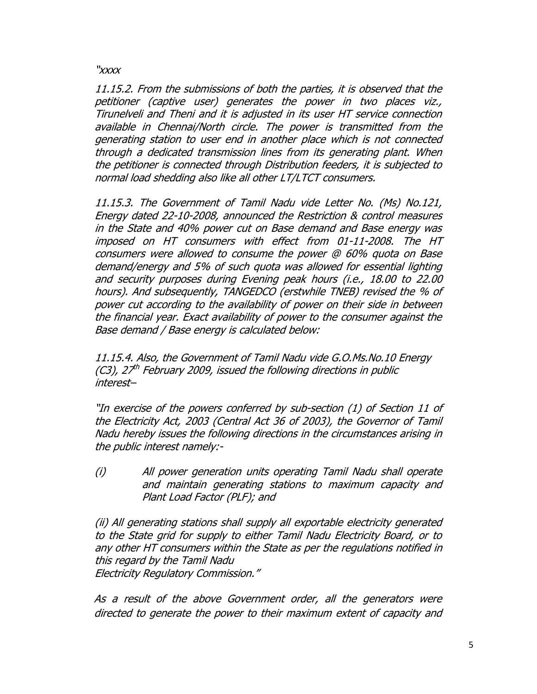"xxxx

11.15.2. From the submissions of both the parties, it is observed that the petitioner (captive user) generates the power in two places viz., Tirunelveli and Theni and it is adjusted in its user HT service connection available in Chennai/North circle. The power is transmitted from the generating station to user end in another place which is not connected through a dedicated transmission lines from its generating plant. When the petitioner is connected through Distribution feeders, it is subjected to normal load shedding also like all other LT/LTCT consumers.

11.15.3. The Government of Tamil Nadu vide Letter No. (Ms) No.121, Energy dated 22-10-2008, announced the Restriction & control measures in the State and 40% power cut on Base demand and Base energy was imposed on HT consumers with effect from 01-11-2008. The HT consumers were allowed to consume the power @ 60% quota on Base demand/energy and 5% of such quota was allowed for essential lighting and security purposes during Evening peak hours (i.e., 18.00 to 22.00 hours). And subsequently, TANGEDCO (erstwhile TNEB) revised the % of power cut according to the availability of power on their side in between the financial year. Exact availability of power to the consumer against the Base demand / Base energy is calculated below:

11.15.4. Also, the Government of Tamil Nadu vide G.O.Ms.No.10 Energy  $(C3)$ , 2 $7<sup>th</sup>$  February 2009, issued the following directions in public interest–

"In exercise of the powers conferred by sub-section (1) of Section 11 of the Electricity Act, 2003 (Central Act 36 of 2003), the Governor of Tamil Nadu hereby issues the following directions in the circumstances arising in the public interest namely:-

(i) All power generation units operating Tamil Nadu shall operate and maintain generating stations to maximum capacity and Plant Load Factor (PLF); and

(ii) All generating stations shall supply all exportable electricity generated to the State grid for supply to either Tamil Nadu Electricity Board, or to any other HT consumers within the State as per the regulations notified in this regard by the Tamil Nadu Electricity Regulatory Commission."

As a result of the above Government order, all the generators were directed to generate the power to their maximum extent of capacity and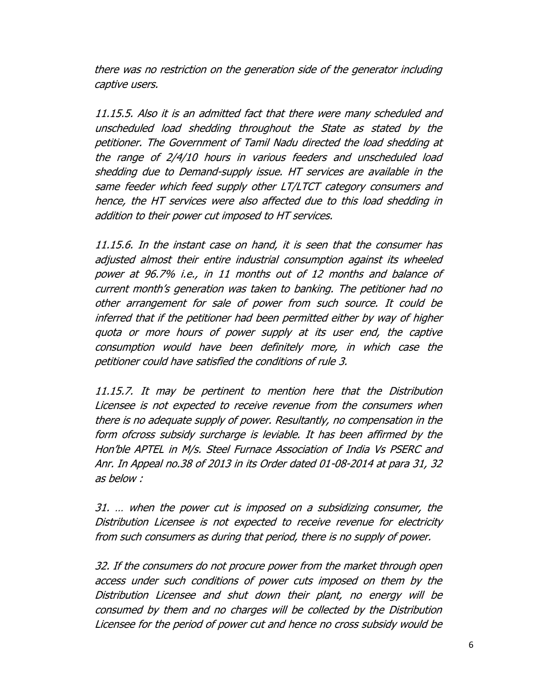there was no restriction on the generation side of the generator including captive users.

11.15.5. Also it is an admitted fact that there were many scheduled and unscheduled load shedding throughout the State as stated by the petitioner. The Government of Tamil Nadu directed the load shedding at the range of 2/4/10 hours in various feeders and unscheduled load shedding due to Demand-supply issue. HT services are available in the same feeder which feed supply other LT/LTCT category consumers and hence, the HT services were also affected due to this load shedding in addition to their power cut imposed to HT services.

11.15.6. In the instant case on hand, it is seen that the consumer has adjusted almost their entire industrial consumption against its wheeled power at 96.7% i.e., in 11 months out of 12 months and balance of current month's generation was taken to banking. The petitioner had no other arrangement for sale of power from such source. It could be inferred that if the petitioner had been permitted either by way of higher quota or more hours of power supply at its user end, the captive consumption would have been definitely more, in which case the petitioner could have satisfied the conditions of rule 3.

11.15.7. It may be pertinent to mention here that the Distribution Licensee is not expected to receive revenue from the consumers when there is no adequate supply of power. Resultantly, no compensation in the form ofcross subsidy surcharge is leviable. It has been affirmed by the Hon'ble APTEL in M/s. Steel Furnace Association of India Vs PSERC and Anr. In Appeal no.38 of 2013 in its Order dated 01-08-2014 at para 31, 32 as below :

31. … when the power cut is imposed on a subsidizing consumer, the Distribution Licensee is not expected to receive revenue for electricity from such consumers as during that period, there is no supply of power.

32. If the consumers do not procure power from the market through open access under such conditions of power cuts imposed on them by the Distribution Licensee and shut down their plant, no energy will be consumed by them and no charges will be collected by the Distribution Licensee for the period of power cut and hence no cross subsidy would be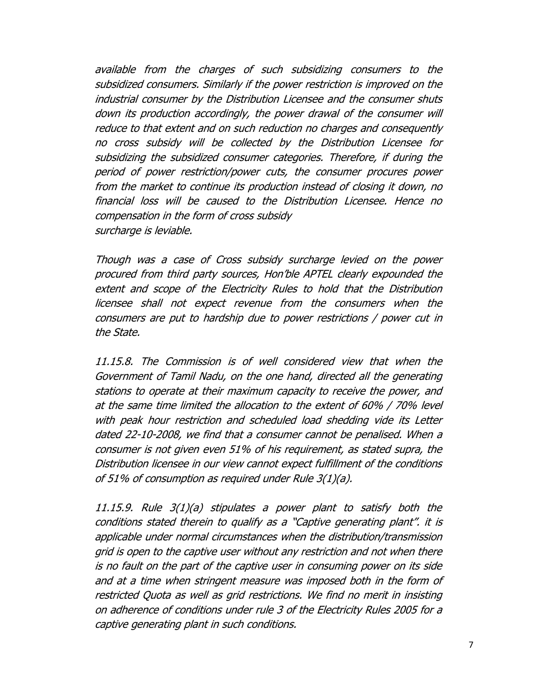available from the charges of such subsidizing consumers to the subsidized consumers. Similarly if the power restriction is improved on the industrial consumer by the Distribution Licensee and the consumer shuts down its production accordingly, the power drawal of the consumer will reduce to that extent and on such reduction no charges and consequently no cross subsidy will be collected by the Distribution Licensee for subsidizing the subsidized consumer categories. Therefore, if during the period of power restriction/power cuts, the consumer procures power from the market to continue its production instead of closing it down, no financial loss will be caused to the Distribution Licensee. Hence no compensation in the form of cross subsidy surcharge is leviable.

Though was a case of Cross subsidy surcharge levied on the power procured from third party sources, Hon'ble APTEL clearly expounded the extent and scope of the Electricity Rules to hold that the Distribution licensee shall not expect revenue from the consumers when the consumers are put to hardship due to power restrictions / power cut in the State.

11.15.8. The Commission is of well considered view that when the Government of Tamil Nadu, on the one hand, directed all the generating stations to operate at their maximum capacity to receive the power, and at the same time limited the allocation to the extent of 60% / 70% level with peak hour restriction and scheduled load shedding vide its Letter dated 22-10-2008, we find that a consumer cannot be penalised. When a consumer is not given even 51% of his requirement, as stated supra, the Distribution licensee in our view cannot expect fulfillment of the conditions of 51% of consumption as required under Rule 3(1)(a).

11.15.9. Rule 3(1)(a) stipulates a power plant to satisfy both the conditions stated therein to qualify as a "Captive generating plant". it is applicable under normal circumstances when the distribution/transmission grid is open to the captive user without any restriction and not when there is no fault on the part of the captive user in consuming power on its side and at a time when stringent measure was imposed both in the form of restricted Quota as well as grid restrictions. We find no merit in insisting on adherence of conditions under rule 3 of the Electricity Rules 2005 for a captive generating plant in such conditions.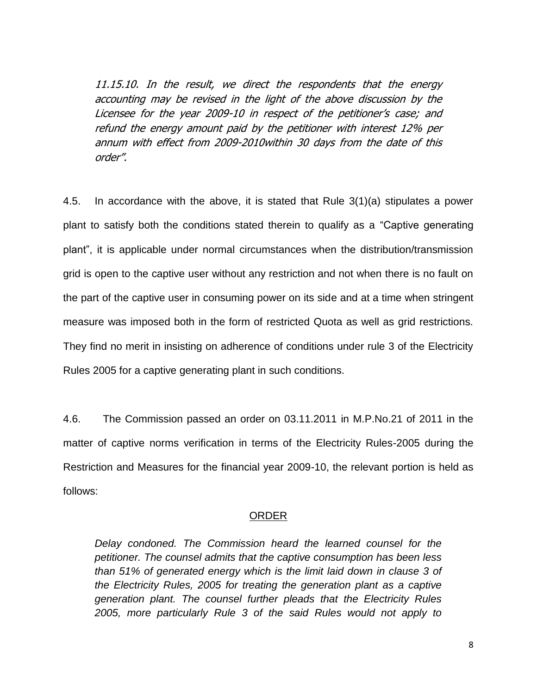11.15.10. In the result, we direct the respondents that the energy accounting may be revised in the light of the above discussion by the Licensee for the year 2009-10 in respect of the petitioner's case; and refund the energy amount paid by the petitioner with interest 12% per annum with effect from 2009-2010within 30 days from the date of this order".

4.5. In accordance with the above, it is stated that Rule 3(1)(a) stipulates a power plant to satisfy both the conditions stated therein to qualify as a "Captive generating plant", it is applicable under normal circumstances when the distribution/transmission grid is open to the captive user without any restriction and not when there is no fault on the part of the captive user in consuming power on its side and at a time when stringent measure was imposed both in the form of restricted Quota as well as grid restrictions. They find no merit in insisting on adherence of conditions under rule 3 of the Electricity Rules 2005 for a captive generating plant in such conditions.

4.6. The Commission passed an order on 03.11.2011 in M.P.No.21 of 2011 in the matter of captive norms verification in terms of the Electricity Rules-2005 during the Restriction and Measures for the financial year 2009-10, the relevant portion is held as follows:

## ORDER

*Delay condoned. The Commission heard the learned counsel for the petitioner. The counsel admits that the captive consumption has been less than 51% of generated energy which is the limit laid down in clause 3 of the Electricity Rules, 2005 for treating the generation plant as a captive generation plant. The counsel further pleads that the Electricity Rules 2005, more particularly Rule 3 of the said Rules would not apply to*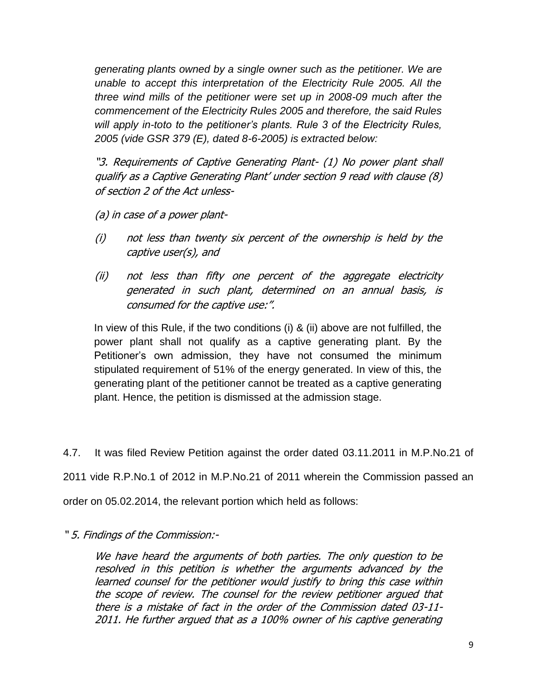*generating plants owned by a single owner such as the petitioner. We are unable to accept this interpretation of the Electricity Rule 2005. All the three wind mills of the petitioner were set up in 2008-09 much after the commencement of the Electricity Rules 2005 and therefore, the said Rules will apply in-toto to the petitioner's plants. Rule 3 of the Electricity Rules, 2005 (vide GSR 379 (E), dated 8-6-2005) is extracted below:*

"3. Requirements of Captive Generating Plant- (1) No power plant shall qualify as a Captive Generating Plant' under section 9 read with clause (8) of section 2 of the Act unless-

(a) in case of a power plant-

- (i) not less than twenty six percent of the ownership is held by the captive user(s), and
- (ii) not less than fifty one percent of the aggregate electricity generated in such plant, determined on an annual basis, is consumed for the captive use:".

In view of this Rule, if the two conditions (i) & (ii) above are not fulfilled, the power plant shall not qualify as a captive generating plant. By the Petitioner's own admission, they have not consumed the minimum stipulated requirement of 51% of the energy generated. In view of this, the generating plant of the petitioner cannot be treated as a captive generating plant. Hence, the petition is dismissed at the admission stage.

4.7. It was filed Review Petition against the order dated 03.11.2011 in M.P.No.21 of

2011 vide R.P.No.1 of 2012 in M.P.No.21 of 2011 wherein the Commission passed an

order on 05.02.2014, the relevant portion which held as follows:

" 5. Findings of the Commission:-

We have heard the arguments of both parties. The only question to be resolved in this petition is whether the arguments advanced by the learned counsel for the petitioner would justify to bring this case within the scope of review. The counsel for the review petitioner argued that there is a mistake of fact in the order of the Commission dated 03-11- 2011. He further argued that as a 100% owner of his captive generating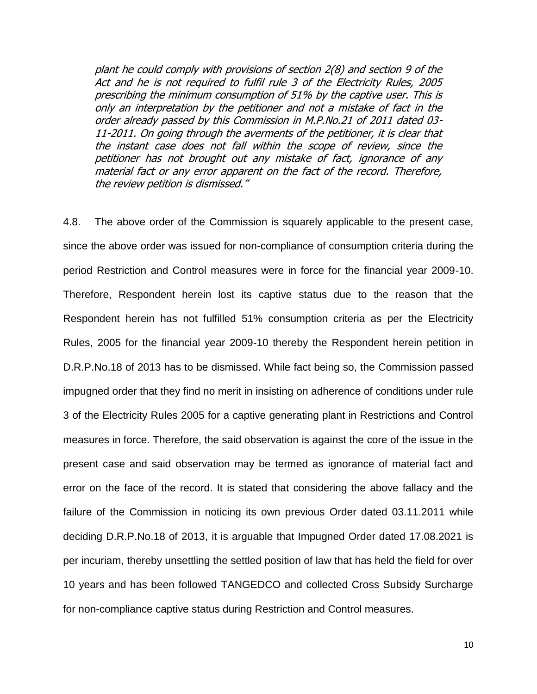plant he could comply with provisions of section 2(8) and section 9 of the Act and he is not required to fulfil rule 3 of the Electricity Rules, 2005 prescribing the minimum consumption of 51% by the captive user. This is only an interpretation by the petitioner and not a mistake of fact in the order already passed by this Commission in M.P.No.21 of 2011 dated 03- 11-2011. On going through the averments of the petitioner, it is clear that the instant case does not fall within the scope of review, since the petitioner has not brought out any mistake of fact, ignorance of any material fact or any error apparent on the fact of the record. Therefore, the review petition is dismissed."

4.8. The above order of the Commission is squarely applicable to the present case, since the above order was issued for non-compliance of consumption criteria during the period Restriction and Control measures were in force for the financial year 2009-10. Therefore, Respondent herein lost its captive status due to the reason that the Respondent herein has not fulfilled 51% consumption criteria as per the Electricity Rules, 2005 for the financial year 2009-10 thereby the Respondent herein petition in D.R.P.No.18 of 2013 has to be dismissed. While fact being so, the Commission passed impugned order that they find no merit in insisting on adherence of conditions under rule 3 of the Electricity Rules 2005 for a captive generating plant in Restrictions and Control measures in force. Therefore, the said observation is against the core of the issue in the present case and said observation may be termed as ignorance of material fact and error on the face of the record. It is stated that considering the above fallacy and the failure of the Commission in noticing its own previous Order dated 03.11.2011 while deciding D.R.P.No.18 of 2013, it is arguable that Impugned Order dated 17.08.2021 is per incuriam, thereby unsettling the settled position of law that has held the field for over 10 years and has been followed TANGEDCO and collected Cross Subsidy Surcharge for non-compliance captive status during Restriction and Control measures.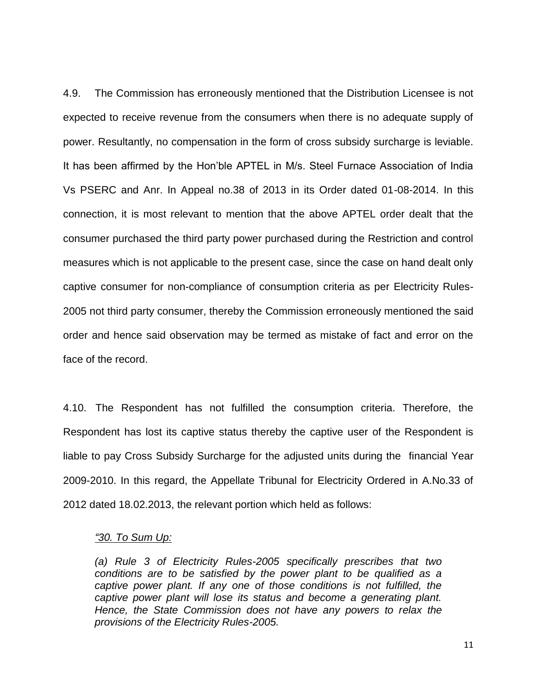4.9. The Commission has erroneously mentioned that the Distribution Licensee is not expected to receive revenue from the consumers when there is no adequate supply of power. Resultantly, no compensation in the form of cross subsidy surcharge is leviable. It has been affirmed by the Hon"ble APTEL in M/s. Steel Furnace Association of India Vs PSERC and Anr. In Appeal no.38 of 2013 in its Order dated 01-08-2014. In this connection, it is most relevant to mention that the above APTEL order dealt that the consumer purchased the third party power purchased during the Restriction and control measures which is not applicable to the present case, since the case on hand dealt only captive consumer for non-compliance of consumption criteria as per Electricity Rules-2005 not third party consumer, thereby the Commission erroneously mentioned the said order and hence said observation may be termed as mistake of fact and error on the face of the record.

4.10. The Respondent has not fulfilled the consumption criteria. Therefore, the Respondent has lost its captive status thereby the captive user of the Respondent is liable to pay Cross Subsidy Surcharge for the adjusted units during the financial Year 2009-2010. In this regard, the Appellate Tribunal for Electricity Ordered in A.No.33 of 2012 dated 18.02.2013, the relevant portion which held as follows:

#### *"30. To Sum Up:*

*(a) Rule 3 of Electricity Rules-2005 specifically prescribes that two conditions are to be satisfied by the power plant to be qualified as a captive power plant. If any one of those conditions is not fulfilled, the captive power plant will lose its status and become a generating plant. Hence, the State Commission does not have any powers to relax the provisions of the Electricity Rules-2005.*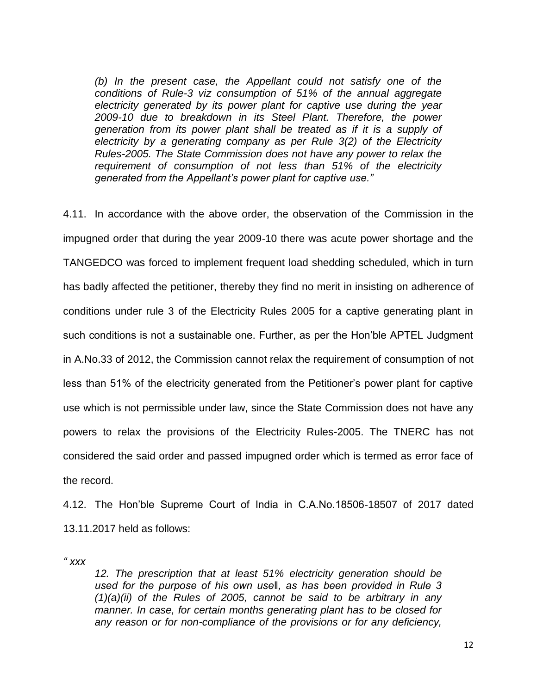*(b) In the present case, the Appellant could not satisfy one of the conditions of Rule-3 viz consumption of 51% of the annual aggregate electricity generated by its power plant for captive use during the year 2009-10 due to breakdown in its Steel Plant. Therefore, the power generation from its power plant shall be treated as if it is a supply of electricity by a generating company as per Rule 3(2) of the Electricity Rules-2005. The State Commission does not have any power to relax the requirement of consumption of not less than 51% of the electricity generated from the Appellant's power plant for captive use."* 

4.11. In accordance with the above order, the observation of the Commission in the impugned order that during the year 2009-10 there was acute power shortage and the TANGEDCO was forced to implement frequent load shedding scheduled, which in turn has badly affected the petitioner, thereby they find no merit in insisting on adherence of conditions under rule 3 of the Electricity Rules 2005 for a captive generating plant in such conditions is not a sustainable one. Further, as per the Hon"ble APTEL Judgment in A.No.33 of 2012, the Commission cannot relax the requirement of consumption of not less than 51% of the electricity generated from the Petitioner"s power plant for captive use which is not permissible under law, since the State Commission does not have any powers to relax the provisions of the Electricity Rules-2005. The TNERC has not considered the said order and passed impugned order which is termed as error face of the record.

4.12. The Hon"ble Supreme Court of India in C.A.No.18506-18507 of 2017 dated 13.11.2017 held as follows:

*" xxx*

*12. The prescription that at least 51% electricity generation should be used for the purpose of his own use‖, as has been provided in Rule 3 (1)(a)(ii) of the Rules of 2005, cannot be said to be arbitrary in any manner. In case, for certain months generating plant has to be closed for any reason or for non-compliance of the provisions or for any deficiency,*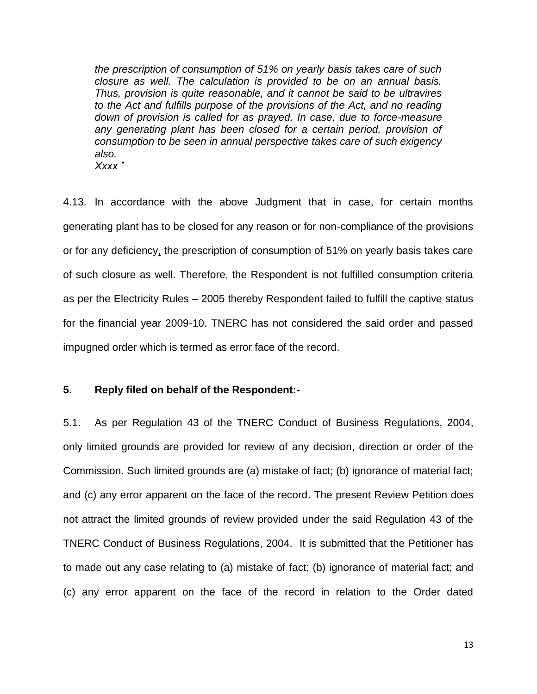*the prescription of consumption of 51% on yearly basis takes care of such closure as well. The calculation is provided to be on an annual basis. Thus, provision is quite reasonable, and it cannot be said to be ultravires to the Act and fulfills purpose of the provisions of the Act, and no reading down of provision is called for as prayed. In case, due to force-measure any generating plant has been closed for a certain period, provision of consumption to be seen in annual perspective takes care of such exigency also. Xxxx '*"

4.13. In accordance with the above Judgment that in case, for certain months generating plant has to be closed for any reason or for non-compliance of the provisions or for any deficiency, the prescription of consumption of 51% on yearly basis takes care of such closure as well. Therefore, the Respondent is not fulfilled consumption criteria as per the Electricity Rules – 2005 thereby Respondent failed to fulfill the captive status for the financial year 2009-10. TNERC has not considered the said order and passed impugned order which is termed as error face of the record.

# **5. Reply filed on behalf of the Respondent:-**

5.1. As per Regulation 43 of the TNERC Conduct of Business Regulations, 2004, only limited grounds are provided for review of any decision, direction or order of the Commission. Such limited grounds are (a) mistake of fact; (b) ignorance of material fact; and (c) any error apparent on the face of the record. The present Review Petition does not attract the limited grounds of review provided under the said Regulation 43 of the TNERC Conduct of Business Regulations, 2004. It is submitted that the Petitioner has to made out any case relating to (a) mistake of fact; (b) ignorance of material fact; and (c) any error apparent on the face of the record in relation to the Order dated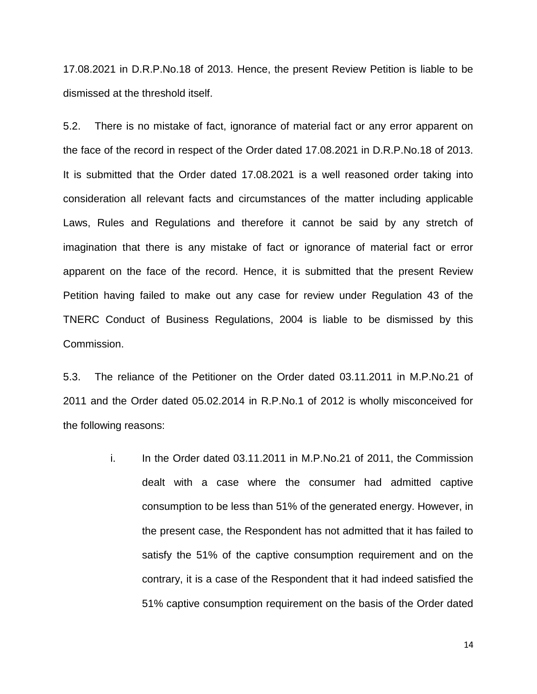17.08.2021 in D.R.P.No.18 of 2013. Hence, the present Review Petition is liable to be dismissed at the threshold itself.

5.2. There is no mistake of fact, ignorance of material fact or any error apparent on the face of the record in respect of the Order dated 17.08.2021 in D.R.P.No.18 of 2013. It is submitted that the Order dated 17.08.2021 is a well reasoned order taking into consideration all relevant facts and circumstances of the matter including applicable Laws, Rules and Regulations and therefore it cannot be said by any stretch of imagination that there is any mistake of fact or ignorance of material fact or error apparent on the face of the record. Hence, it is submitted that the present Review Petition having failed to make out any case for review under Regulation 43 of the TNERC Conduct of Business Regulations, 2004 is liable to be dismissed by this Commission.

5.3. The reliance of the Petitioner on the Order dated 03.11.2011 in M.P.No.21 of 2011 and the Order dated 05.02.2014 in R.P.No.1 of 2012 is wholly misconceived for the following reasons:

> i. In the Order dated 03.11.2011 in M.P.No.21 of 2011, the Commission dealt with a case where the consumer had admitted captive consumption to be less than 51% of the generated energy. However, in the present case, the Respondent has not admitted that it has failed to satisfy the 51% of the captive consumption requirement and on the contrary, it is a case of the Respondent that it had indeed satisfied the 51% captive consumption requirement on the basis of the Order dated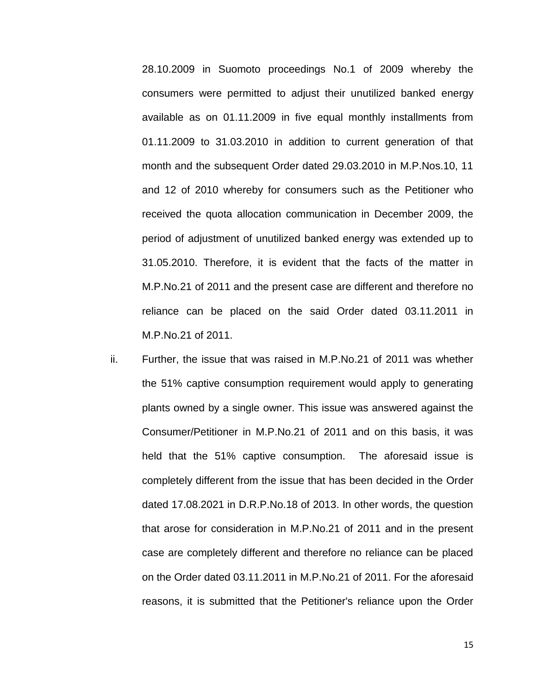28.10.2009 in Suomoto proceedings No.1 of 2009 whereby the consumers were permitted to adjust their unutilized banked energy available as on 01.11.2009 in five equal monthly installments from 01.11.2009 to 31.03.2010 in addition to current generation of that month and the subsequent Order dated 29.03.2010 in M.P.Nos.10, 11 and 12 of 2010 whereby for consumers such as the Petitioner who received the quota allocation communication in December 2009, the period of adjustment of unutilized banked energy was extended up to 31.05.2010. Therefore, it is evident that the facts of the matter in M.P.No.21 of 2011 and the present case are different and therefore no reliance can be placed on the said Order dated 03.11.2011 in M.P.No.21 of 2011.

ii. Further, the issue that was raised in M.P.No.21 of 2011 was whether the 51% captive consumption requirement would apply to generating plants owned by a single owner. This issue was answered against the Consumer/Petitioner in M.P.No.21 of 2011 and on this basis, it was held that the 51% captive consumption. The aforesaid issue is completely different from the issue that has been decided in the Order dated 17.08.2021 in D.R.P.No.18 of 2013. In other words, the question that arose for consideration in M.P.No.21 of 2011 and in the present case are completely different and therefore no reliance can be placed on the Order dated 03.11.2011 in M.P.No.21 of 2011. For the aforesaid reasons, it is submitted that the Petitioner's reliance upon the Order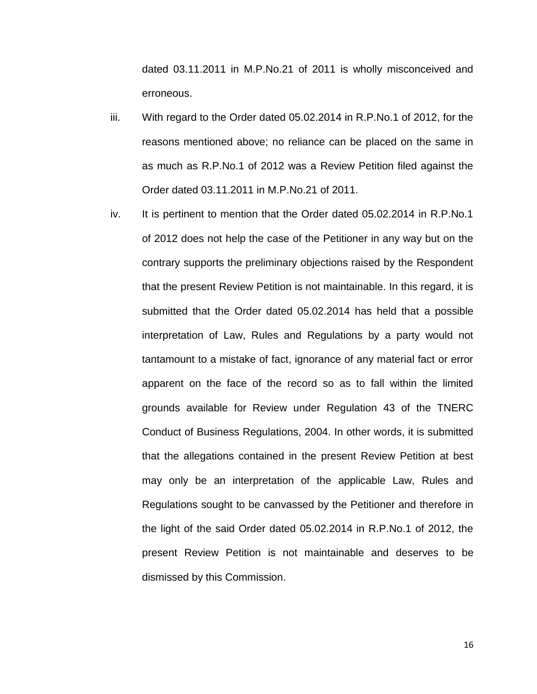dated 03.11.2011 in M.P.No.21 of 2011 is wholly misconceived and erroneous.

- iii. With regard to the Order dated 05.02.2014 in R.P.No.1 of 2012, for the reasons mentioned above; no reliance can be placed on the same in as much as R.P.No.1 of 2012 was a Review Petition filed against the Order dated 03.11.2011 in M.P.No.21 of 2011.
- iv. It is pertinent to mention that the Order dated 05.02.2014 in R.P.No.1 of 2012 does not help the case of the Petitioner in any way but on the contrary supports the preliminary objections raised by the Respondent that the present Review Petition is not maintainable. In this regard, it is submitted that the Order dated 05.02.2014 has held that a possible interpretation of Law, Rules and Regulations by a party would not tantamount to a mistake of fact, ignorance of any material fact or error apparent on the face of the record so as to fall within the limited grounds available for Review under Regulation 43 of the TNERC Conduct of Business Regulations, 2004. In other words, it is submitted that the allegations contained in the present Review Petition at best may only be an interpretation of the applicable Law, Rules and Regulations sought to be canvassed by the Petitioner and therefore in the light of the said Order dated 05.02.2014 in R.P.No.1 of 2012, the present Review Petition is not maintainable and deserves to be dismissed by this Commission.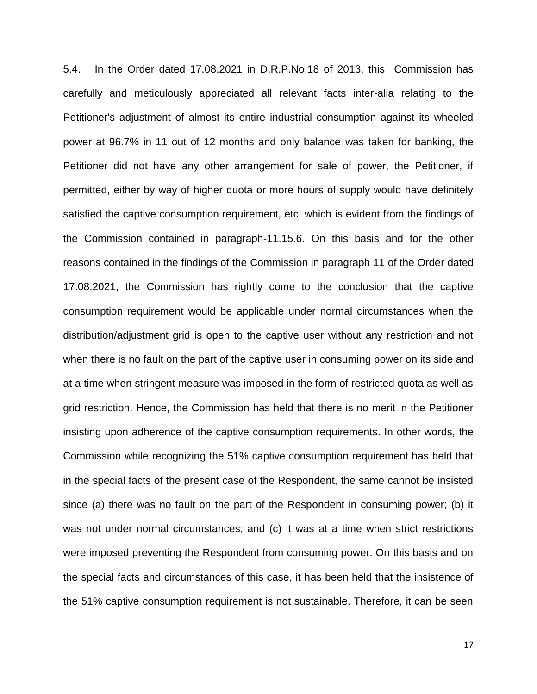5.4. In the Order dated 17.08.2021 in D.R.P.No.18 of 2013, this Commission has carefully and meticulously appreciated all relevant facts inter-alia relating to the Petitioner's adjustment of almost its entire industrial consumption against its wheeled power at 96.7% in 11 out of 12 months and only balance was taken for banking, the Petitioner did not have any other arrangement for sale of power, the Petitioner, if permitted, either by way of higher quota or more hours of supply would have definitely satisfied the captive consumption requirement, etc. which is evident from the findings of the Commission contained in paragraph-11.15.6. On this basis and for the other reasons contained in the findings of the Commission in paragraph 11 of the Order dated 17.08.2021, the Commission has rightly come to the conclusion that the captive consumption requirement would be applicable under normal circumstances when the distribution/adjustment grid is open to the captive user without any restriction and not when there is no fault on the part of the captive user in consuming power on its side and at a time when stringent measure was imposed in the form of restricted quota as well as grid restriction. Hence, the Commission has held that there is no merit in the Petitioner insisting upon adherence of the captive consumption requirements. In other words, the Commission while recognizing the 51% captive consumption requirement has held that in the special facts of the present case of the Respondent, the same cannot be insisted since (a) there was no fault on the part of the Respondent in consuming power; (b) it was not under normal circumstances; and (c) it was at a time when strict restrictions were imposed preventing the Respondent from consuming power. On this basis and on the special facts and circumstances of this case, it has been held that the insistence of the 51% captive consumption requirement is not sustainable. Therefore, it can be seen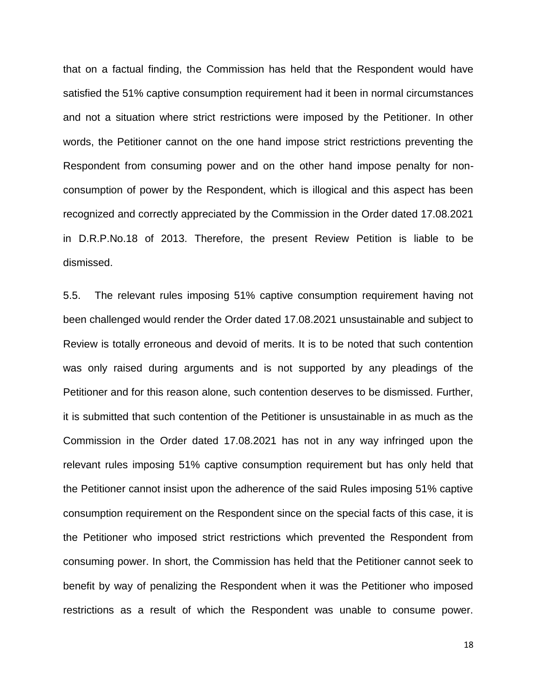that on a factual finding, the Commission has held that the Respondent would have satisfied the 51% captive consumption requirement had it been in normal circumstances and not a situation where strict restrictions were imposed by the Petitioner. In other words, the Petitioner cannot on the one hand impose strict restrictions preventing the Respondent from consuming power and on the other hand impose penalty for nonconsumption of power by the Respondent, which is illogical and this aspect has been recognized and correctly appreciated by the Commission in the Order dated 17.08.2021 in D.R.P.No.18 of 2013. Therefore, the present Review Petition is liable to be dismissed.

5.5. The relevant rules imposing 51% captive consumption requirement having not been challenged would render the Order dated 17.08.2021 unsustainable and subject to Review is totally erroneous and devoid of merits. It is to be noted that such contention was only raised during arguments and is not supported by any pleadings of the Petitioner and for this reason alone, such contention deserves to be dismissed. Further, it is submitted that such contention of the Petitioner is unsustainable in as much as the Commission in the Order dated 17.08.2021 has not in any way infringed upon the relevant rules imposing 51% captive consumption requirement but has only held that the Petitioner cannot insist upon the adherence of the said Rules imposing 51% captive consumption requirement on the Respondent since on the special facts of this case, it is the Petitioner who imposed strict restrictions which prevented the Respondent from consuming power. In short, the Commission has held that the Petitioner cannot seek to benefit by way of penalizing the Respondent when it was the Petitioner who imposed restrictions as a result of which the Respondent was unable to consume power.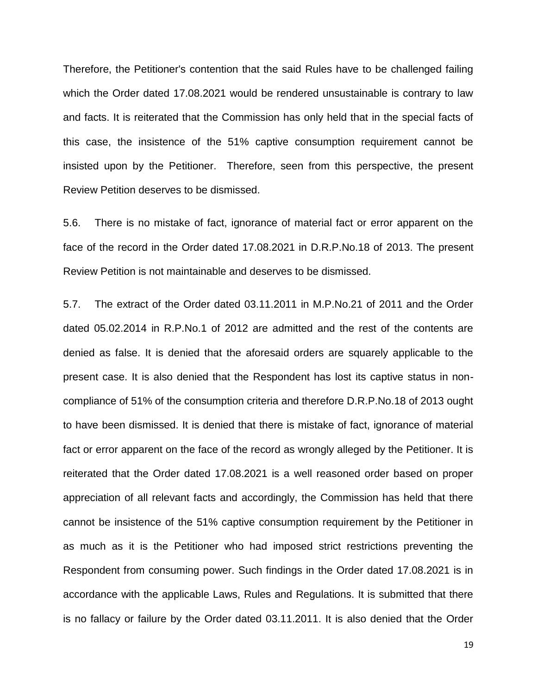Therefore, the Petitioner's contention that the said Rules have to be challenged failing which the Order dated 17.08.2021 would be rendered unsustainable is contrary to law and facts. It is reiterated that the Commission has only held that in the special facts of this case, the insistence of the 51% captive consumption requirement cannot be insisted upon by the Petitioner. Therefore, seen from this perspective, the present Review Petition deserves to be dismissed.

5.6. There is no mistake of fact, ignorance of material fact or error apparent on the face of the record in the Order dated 17.08.2021 in D.R.P.No.18 of 2013. The present Review Petition is not maintainable and deserves to be dismissed.

5.7. The extract of the Order dated 03.11.2011 in M.P.No.21 of 2011 and the Order dated 05.02.2014 in R.P.No.1 of 2012 are admitted and the rest of the contents are denied as false. It is denied that the aforesaid orders are squarely applicable to the present case. It is also denied that the Respondent has lost its captive status in noncompliance of 51% of the consumption criteria and therefore D.R.P.No.18 of 2013 ought to have been dismissed. It is denied that there is mistake of fact, ignorance of material fact or error apparent on the face of the record as wrongly alleged by the Petitioner. It is reiterated that the Order dated 17.08.2021 is a well reasoned order based on proper appreciation of all relevant facts and accordingly, the Commission has held that there cannot be insistence of the 51% captive consumption requirement by the Petitioner in as much as it is the Petitioner who had imposed strict restrictions preventing the Respondent from consuming power. Such findings in the Order dated 17.08.2021 is in accordance with the applicable Laws, Rules and Regulations. It is submitted that there is no fallacy or failure by the Order dated 03.11.2011. It is also denied that the Order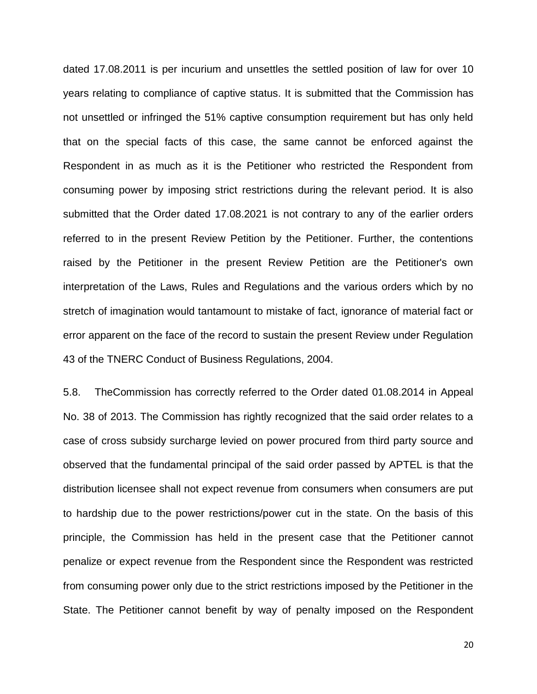dated 17.08.2011 is per incurium and unsettles the settled position of law for over 10 years relating to compliance of captive status. It is submitted that the Commission has not unsettled or infringed the 51% captive consumption requirement but has only held that on the special facts of this case, the same cannot be enforced against the Respondent in as much as it is the Petitioner who restricted the Respondent from consuming power by imposing strict restrictions during the relevant period. It is also submitted that the Order dated 17.08.2021 is not contrary to any of the earlier orders referred to in the present Review Petition by the Petitioner. Further, the contentions raised by the Petitioner in the present Review Petition are the Petitioner's own interpretation of the Laws, Rules and Regulations and the various orders which by no stretch of imagination would tantamount to mistake of fact, ignorance of material fact or error apparent on the face of the record to sustain the present Review under Regulation 43 of the TNERC Conduct of Business Regulations, 2004.

5.8. TheCommission has correctly referred to the Order dated 01.08.2014 in Appeal No. 38 of 2013. The Commission has rightly recognized that the said order relates to a case of cross subsidy surcharge levied on power procured from third party source and observed that the fundamental principal of the said order passed by APTEL is that the distribution licensee shall not expect revenue from consumers when consumers are put to hardship due to the power restrictions/power cut in the state. On the basis of this principle, the Commission has held in the present case that the Petitioner cannot penalize or expect revenue from the Respondent since the Respondent was restricted from consuming power only due to the strict restrictions imposed by the Petitioner in the State. The Petitioner cannot benefit by way of penalty imposed on the Respondent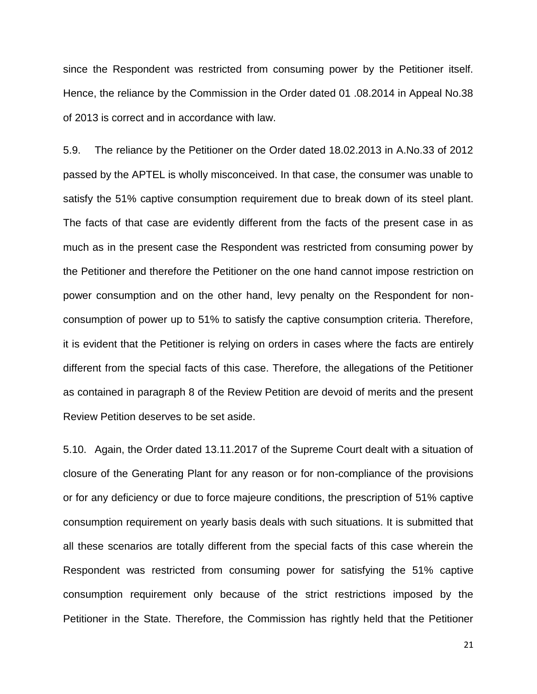since the Respondent was restricted from consuming power by the Petitioner itself. Hence, the reliance by the Commission in the Order dated 01 .08.2014 in Appeal No.38 of 2013 is correct and in accordance with law.

5.9. The reliance by the Petitioner on the Order dated 18.02.2013 in A.No.33 of 2012 passed by the APTEL is wholly misconceived. In that case, the consumer was unable to satisfy the 51% captive consumption requirement due to break down of its steel plant. The facts of that case are evidently different from the facts of the present case in as much as in the present case the Respondent was restricted from consuming power by the Petitioner and therefore the Petitioner on the one hand cannot impose restriction on power consumption and on the other hand, levy penalty on the Respondent for nonconsumption of power up to 51% to satisfy the captive consumption criteria. Therefore, it is evident that the Petitioner is relying on orders in cases where the facts are entirely different from the special facts of this case. Therefore, the allegations of the Petitioner as contained in paragraph 8 of the Review Petition are devoid of merits and the present Review Petition deserves to be set aside.

5.10. Again, the Order dated 13.11.2017 of the Supreme Court dealt with a situation of closure of the Generating Plant for any reason or for non-compliance of the provisions or for any deficiency or due to force majeure conditions, the prescription of 51% captive consumption requirement on yearly basis deals with such situations. It is submitted that all these scenarios are totally different from the special facts of this case wherein the Respondent was restricted from consuming power for satisfying the 51% captive consumption requirement only because of the strict restrictions imposed by the Petitioner in the State. Therefore, the Commission has rightly held that the Petitioner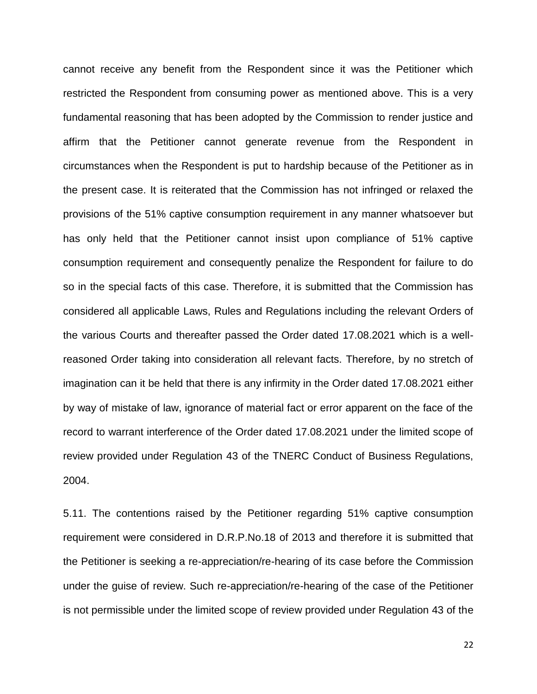cannot receive any benefit from the Respondent since it was the Petitioner which restricted the Respondent from consuming power as mentioned above. This is a very fundamental reasoning that has been adopted by the Commission to render justice and affirm that the Petitioner cannot generate revenue from the Respondent in circumstances when the Respondent is put to hardship because of the Petitioner as in the present case. It is reiterated that the Commission has not infringed or relaxed the provisions of the 51% captive consumption requirement in any manner whatsoever but has only held that the Petitioner cannot insist upon compliance of 51% captive consumption requirement and consequently penalize the Respondent for failure to do so in the special facts of this case. Therefore, it is submitted that the Commission has considered all applicable Laws, Rules and Regulations including the relevant Orders of the various Courts and thereafter passed the Order dated 17.08.2021 which is a wellreasoned Order taking into consideration all relevant facts. Therefore, by no stretch of imagination can it be held that there is any infirmity in the Order dated 17.08.2021 either by way of mistake of law, ignorance of material fact or error apparent on the face of the record to warrant interference of the Order dated 17.08.2021 under the limited scope of review provided under Regulation 43 of the TNERC Conduct of Business Regulations, 2004.

5.11. The contentions raised by the Petitioner regarding 51% captive consumption requirement were considered in D.R.P.No.18 of 2013 and therefore it is submitted that the Petitioner is seeking a re-appreciation/re-hearing of its case before the Commission under the guise of review. Such re-appreciation/re-hearing of the case of the Petitioner is not permissible under the limited scope of review provided under Regulation 43 of the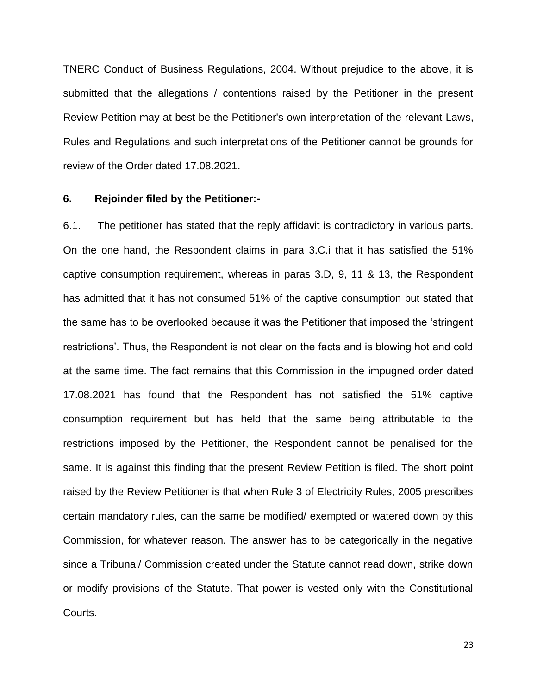TNERC Conduct of Business Regulations, 2004. Without prejudice to the above, it is submitted that the allegations / contentions raised by the Petitioner in the present Review Petition may at best be the Petitioner's own interpretation of the relevant Laws, Rules and Regulations and such interpretations of the Petitioner cannot be grounds for review of the Order dated 17.08.2021.

### **6. Rejoinder filed by the Petitioner:-**

6.1. The petitioner has stated that the reply affidavit is contradictory in various parts. On the one hand, the Respondent claims in para 3.C.i that it has satisfied the 51% captive consumption requirement, whereas in paras 3.D, 9, 11 & 13, the Respondent has admitted that it has not consumed 51% of the captive consumption but stated that the same has to be overlooked because it was the Petitioner that imposed the "stringent restrictions'. Thus, the Respondent is not clear on the facts and is blowing hot and cold at the same time. The fact remains that this Commission in the impugned order dated 17.08.2021 has found that the Respondent has not satisfied the 51% captive consumption requirement but has held that the same being attributable to the restrictions imposed by the Petitioner, the Respondent cannot be penalised for the same. It is against this finding that the present Review Petition is filed. The short point raised by the Review Petitioner is that when Rule 3 of Electricity Rules, 2005 prescribes certain mandatory rules, can the same be modified/ exempted or watered down by this Commission, for whatever reason. The answer has to be categorically in the negative since a Tribunal/ Commission created under the Statute cannot read down, strike down or modify provisions of the Statute. That power is vested only with the Constitutional Courts.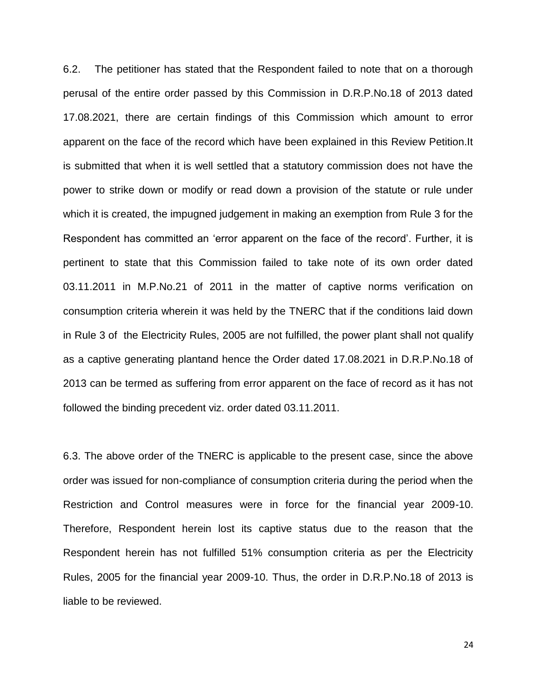6.2. The petitioner has stated that the Respondent failed to note that on a thorough perusal of the entire order passed by this Commission in D.R.P.No.18 of 2013 dated 17.08.2021, there are certain findings of this Commission which amount to error apparent on the face of the record which have been explained in this Review Petition.It is submitted that when it is well settled that a statutory commission does not have the power to strike down or modify or read down a provision of the statute or rule under which it is created, the impugned judgement in making an exemption from Rule 3 for the Respondent has committed an "error apparent on the face of the record". Further, it is pertinent to state that this Commission failed to take note of its own order dated 03.11.2011 in M.P.No.21 of 2011 in the matter of captive norms verification on consumption criteria wherein it was held by the TNERC that if the conditions laid down in Rule 3 of the Electricity Rules, 2005 are not fulfilled, the power plant shall not qualify as a captive generating plantand hence the Order dated 17.08.2021 in D.R.P.No.18 of 2013 can be termed as suffering from error apparent on the face of record as it has not followed the binding precedent viz. order dated 03.11.2011.

6.3. The above order of the TNERC is applicable to the present case, since the above order was issued for non-compliance of consumption criteria during the period when the Restriction and Control measures were in force for the financial year 2009-10. Therefore, Respondent herein lost its captive status due to the reason that the Respondent herein has not fulfilled 51% consumption criteria as per the Electricity Rules, 2005 for the financial year 2009-10. Thus, the order in D.R.P.No.18 of 2013 is liable to be reviewed.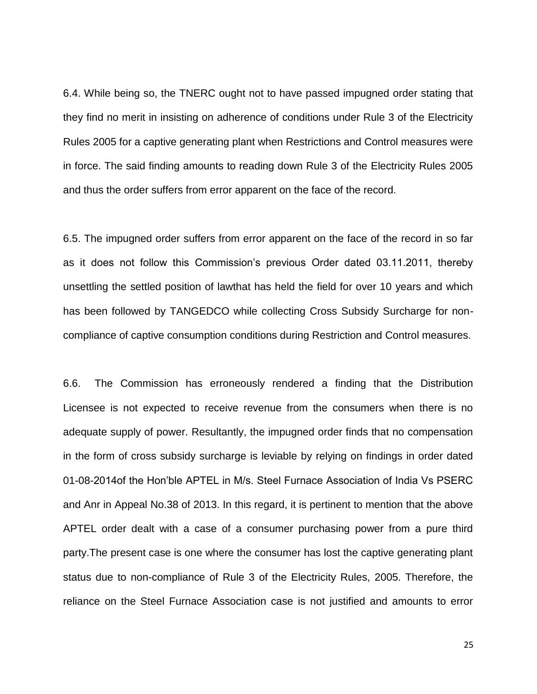6.4. While being so, the TNERC ought not to have passed impugned order stating that they find no merit in insisting on adherence of conditions under Rule 3 of the Electricity Rules 2005 for a captive generating plant when Restrictions and Control measures were in force. The said finding amounts to reading down Rule 3 of the Electricity Rules 2005 and thus the order suffers from error apparent on the face of the record.

6.5. The impugned order suffers from error apparent on the face of the record in so far as it does not follow this Commission's previous Order dated 03.11.2011, thereby unsettling the settled position of lawthat has held the field for over 10 years and which has been followed by TANGEDCO while collecting Cross Subsidy Surcharge for noncompliance of captive consumption conditions during Restriction and Control measures.

6.6. The Commission has erroneously rendered a finding that the Distribution Licensee is not expected to receive revenue from the consumers when there is no adequate supply of power. Resultantly, the impugned order finds that no compensation in the form of cross subsidy surcharge is leviable by relying on findings in order dated 01-08-2014of the Hon"ble APTEL in M/s. Steel Furnace Association of India Vs PSERC and Anr in Appeal No.38 of 2013. In this regard, it is pertinent to mention that the above APTEL order dealt with a case of a consumer purchasing power from a pure third party.The present case is one where the consumer has lost the captive generating plant status due to non-compliance of Rule 3 of the Electricity Rules, 2005. Therefore, the reliance on the Steel Furnace Association case is not justified and amounts to error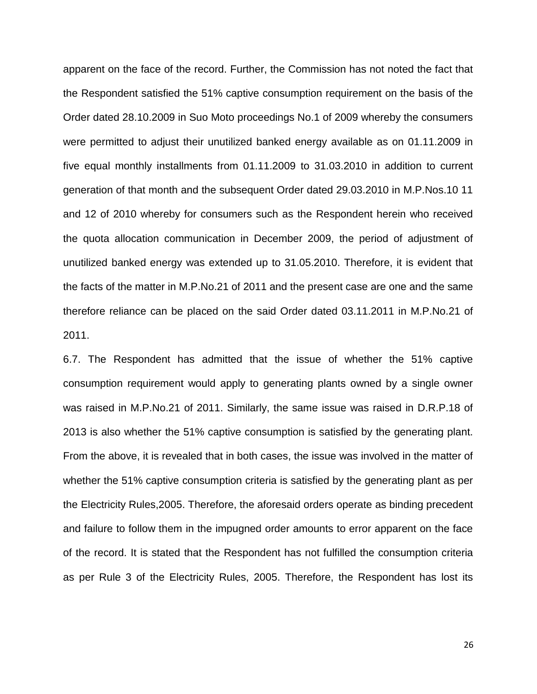apparent on the face of the record. Further, the Commission has not noted the fact that the Respondent satisfied the 51% captive consumption requirement on the basis of the Order dated 28.10.2009 in Suo Moto proceedings No.1 of 2009 whereby the consumers were permitted to adjust their unutilized banked energy available as on 01.11.2009 in five equal monthly installments from 01.11.2009 to 31.03.2010 in addition to current generation of that month and the subsequent Order dated 29.03.2010 in M.P.Nos.10 11 and 12 of 2010 whereby for consumers such as the Respondent herein who received the quota allocation communication in December 2009, the period of adjustment of unutilized banked energy was extended up to 31.05.2010. Therefore, it is evident that the facts of the matter in M.P.No.21 of 2011 and the present case are one and the same therefore reliance can be placed on the said Order dated 03.11.2011 in M.P.No.21 of 2011.

6.7. The Respondent has admitted that the issue of whether the 51% captive consumption requirement would apply to generating plants owned by a single owner was raised in M.P.No.21 of 2011. Similarly, the same issue was raised in D.R.P.18 of 2013 is also whether the 51% captive consumption is satisfied by the generating plant. From the above, it is revealed that in both cases, the issue was involved in the matter of whether the 51% captive consumption criteria is satisfied by the generating plant as per the Electricity Rules,2005. Therefore, the aforesaid orders operate as binding precedent and failure to follow them in the impugned order amounts to error apparent on the face of the record. It is stated that the Respondent has not fulfilled the consumption criteria as per Rule 3 of the Electricity Rules, 2005. Therefore, the Respondent has lost its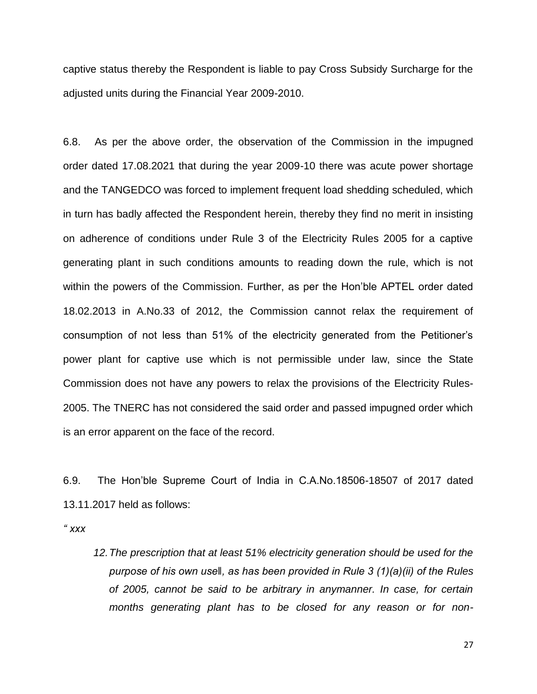captive status thereby the Respondent is liable to pay Cross Subsidy Surcharge for the adjusted units during the Financial Year 2009-2010.

6.8. As per the above order, the observation of the Commission in the impugned order dated 17.08.2021 that during the year 2009-10 there was acute power shortage and the TANGEDCO was forced to implement frequent load shedding scheduled, which in turn has badly affected the Respondent herein, thereby they find no merit in insisting on adherence of conditions under Rule 3 of the Electricity Rules 2005 for a captive generating plant in such conditions amounts to reading down the rule, which is not within the powers of the Commission. Further, as per the Hon"ble APTEL order dated 18.02.2013 in A.No.33 of 2012, the Commission cannot relax the requirement of consumption of not less than 51% of the electricity generated from the Petitioner"s power plant for captive use which is not permissible under law, since the State Commission does not have any powers to relax the provisions of the Electricity Rules-2005. The TNERC has not considered the said order and passed impugned order which is an error apparent on the face of the record.

6.9. The Hon"ble Supreme Court of India in C.A.No.18506-18507 of 2017 dated 13.11.2017 held as follows:

*" xxx*

*12.The prescription that at least 51% electricity generation should be used for the purpose of his own use‖, as has been provided in Rule 3 (1)(a)(ii) of the Rules of 2005, cannot be said to be arbitrary in anymanner. In case, for certain months generating plant has to be closed for any reason or for non-*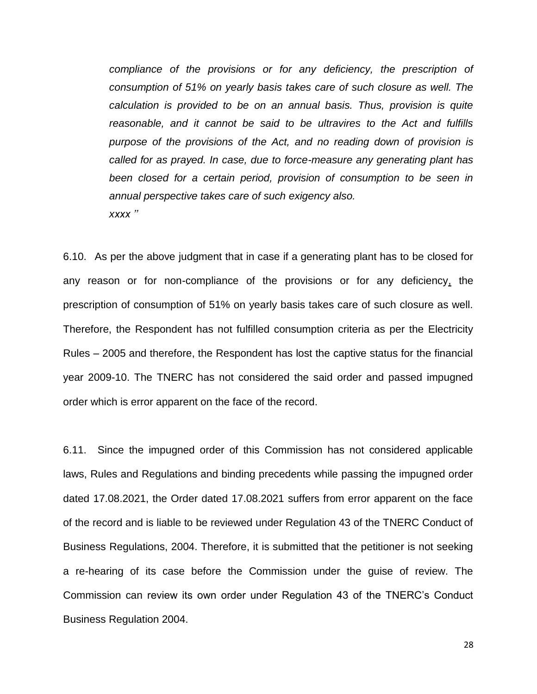*compliance of the provisions or for any deficiency, the prescription of consumption of 51% on yearly basis takes care of such closure as well. The calculation is provided to be on an annual basis. Thus, provision is quite reasonable, and it cannot be said to be ultravires to the Act and fulfills purpose of the provisions of the Act, and no reading down of provision is called for as prayed. In case, due to force-measure any generating plant has been closed for a certain period, provision of consumption to be seen in annual perspective takes care of such exigency also. xxxx ''*

6.10. As per the above judgment that in case if a generating plant has to be closed for any reason or for non-compliance of the provisions or for any deficiency, the prescription of consumption of 51% on yearly basis takes care of such closure as well. Therefore, the Respondent has not fulfilled consumption criteria as per the Electricity Rules – 2005 and therefore, the Respondent has lost the captive status for the financial year 2009-10. The TNERC has not considered the said order and passed impugned order which is error apparent on the face of the record.

6.11. Since the impugned order of this Commission has not considered applicable laws, Rules and Regulations and binding precedents while passing the impugned order dated 17.08.2021, the Order dated 17.08.2021 suffers from error apparent on the face of the record and is liable to be reviewed under Regulation 43 of the TNERC Conduct of Business Regulations, 2004. Therefore, it is submitted that the petitioner is not seeking a re-hearing of its case before the Commission under the guise of review. The Commission can review its own order under Regulation 43 of the TNERC"s Conduct Business Regulation 2004.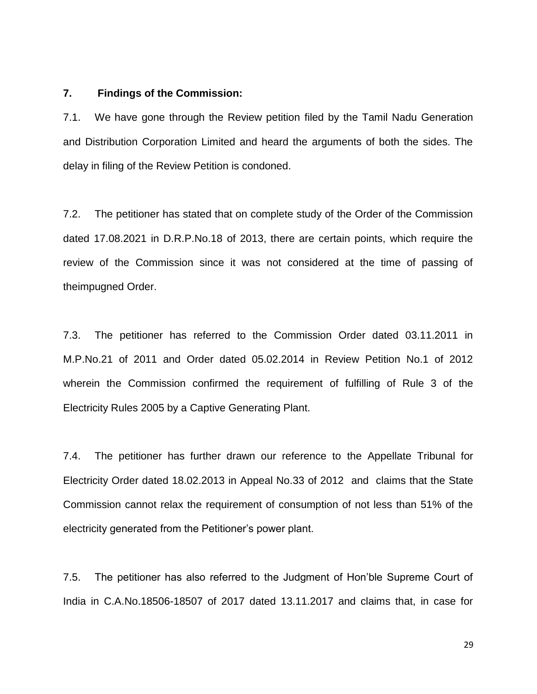### **7. Findings of the Commission:**

7.1. We have gone through the Review petition filed by the Tamil Nadu Generation and Distribution Corporation Limited and heard the arguments of both the sides. The delay in filing of the Review Petition is condoned.

7.2. The petitioner has stated that on complete study of the Order of the Commission dated 17.08.2021 in D.R.P.No.18 of 2013, there are certain points, which require the review of the Commission since it was not considered at the time of passing of theimpugned Order.

7.3. The petitioner has referred to the Commission Order dated 03.11.2011 in M.P.No.21 of 2011 and Order dated 05.02.2014 in Review Petition No.1 of 2012 wherein the Commission confirmed the requirement of fulfilling of Rule 3 of the Electricity Rules 2005 by a Captive Generating Plant.

7.4. The petitioner has further drawn our reference to the Appellate Tribunal for Electricity Order dated 18.02.2013 in Appeal No.33 of 2012 and claims that the State Commission cannot relax the requirement of consumption of not less than 51% of the electricity generated from the Petitioner"s power plant.

7.5. The petitioner has also referred to the Judgment of Hon"ble Supreme Court of India in C.A.No.18506-18507 of 2017 dated 13.11.2017 and claims that, in case for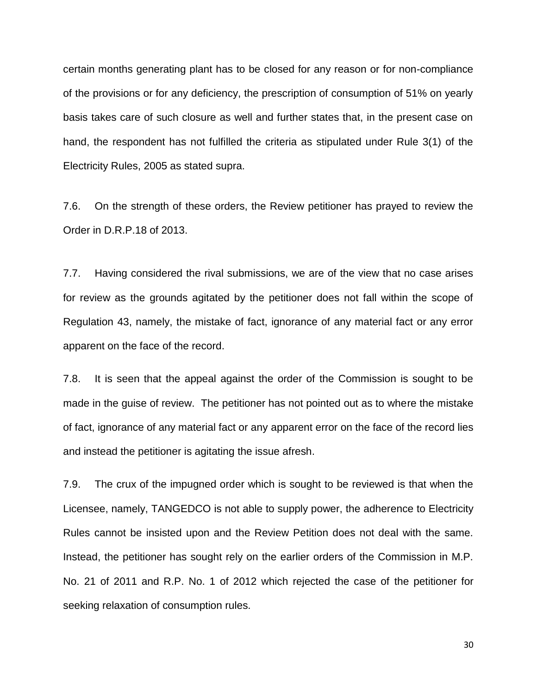certain months generating plant has to be closed for any reason or for non-compliance of the provisions or for any deficiency, the prescription of consumption of 51% on yearly basis takes care of such closure as well and further states that, in the present case on hand, the respondent has not fulfilled the criteria as stipulated under Rule 3(1) of the Electricity Rules, 2005 as stated supra.

7.6. On the strength of these orders, the Review petitioner has prayed to review the Order in D.R.P.18 of 2013.

7.7. Having considered the rival submissions, we are of the view that no case arises for review as the grounds agitated by the petitioner does not fall within the scope of Regulation 43, namely, the mistake of fact, ignorance of any material fact or any error apparent on the face of the record.

7.8. It is seen that the appeal against the order of the Commission is sought to be made in the guise of review. The petitioner has not pointed out as to where the mistake of fact, ignorance of any material fact or any apparent error on the face of the record lies and instead the petitioner is agitating the issue afresh.

7.9. The crux of the impugned order which is sought to be reviewed is that when the Licensee, namely, TANGEDCO is not able to supply power, the adherence to Electricity Rules cannot be insisted upon and the Review Petition does not deal with the same. Instead, the petitioner has sought rely on the earlier orders of the Commission in M.P. No. 21 of 2011 and R.P. No. 1 of 2012 which rejected the case of the petitioner for seeking relaxation of consumption rules.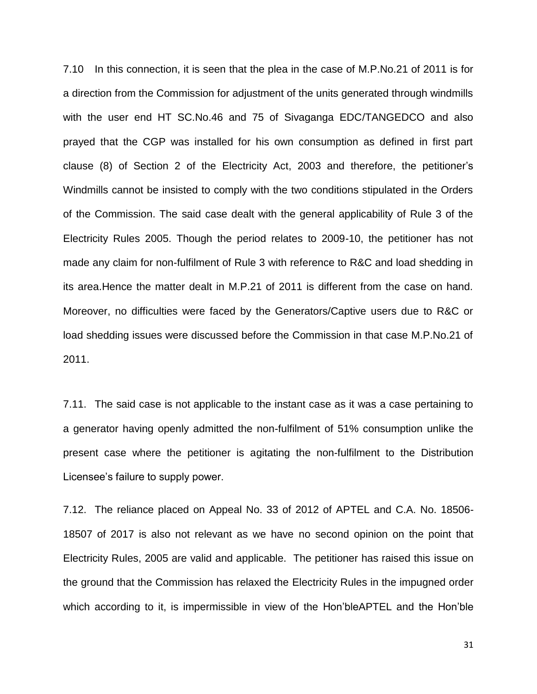7.10 In this connection, it is seen that the plea in the case of M.P.No.21 of 2011 is for a direction from the Commission for adjustment of the units generated through windmills with the user end HT SC.No.46 and 75 of Sivaganga EDC/TANGEDCO and also prayed that the CGP was installed for his own consumption as defined in first part clause (8) of Section 2 of the Electricity Act, 2003 and therefore, the petitioner"s Windmills cannot be insisted to comply with the two conditions stipulated in the Orders of the Commission. The said case dealt with the general applicability of Rule 3 of the Electricity Rules 2005. Though the period relates to 2009-10, the petitioner has not made any claim for non-fulfilment of Rule 3 with reference to R&C and load shedding in its area.Hence the matter dealt in M.P.21 of 2011 is different from the case on hand. Moreover, no difficulties were faced by the Generators/Captive users due to R&C or load shedding issues were discussed before the Commission in that case M.P.No.21 of 2011.

7.11. The said case is not applicable to the instant case as it was a case pertaining to a generator having openly admitted the non-fulfilment of 51% consumption unlike the present case where the petitioner is agitating the non-fulfilment to the Distribution Licensee"s failure to supply power.

7.12. The reliance placed on Appeal No. 33 of 2012 of APTEL and C.A. No. 18506- 18507 of 2017 is also not relevant as we have no second opinion on the point that Electricity Rules, 2005 are valid and applicable. The petitioner has raised this issue on the ground that the Commission has relaxed the Electricity Rules in the impugned order which according to it, is impermissible in view of the Hon"bleAPTEL and the Hon"ble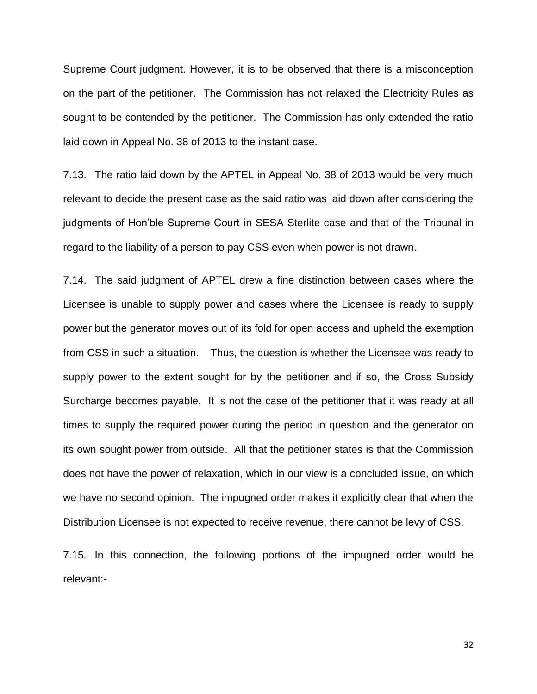Supreme Court judgment. However, it is to be observed that there is a misconception on the part of the petitioner. The Commission has not relaxed the Electricity Rules as sought to be contended by the petitioner. The Commission has only extended the ratio laid down in Appeal No. 38 of 2013 to the instant case.

7.13. The ratio laid down by the APTEL in Appeal No. 38 of 2013 would be very much relevant to decide the present case as the said ratio was laid down after considering the judgments of Hon"ble Supreme Court in SESA Sterlite case and that of the Tribunal in regard to the liability of a person to pay CSS even when power is not drawn.

7.14. The said judgment of APTEL drew a fine distinction between cases where the Licensee is unable to supply power and cases where the Licensee is ready to supply power but the generator moves out of its fold for open access and upheld the exemption from CSS in such a situation. Thus, the question is whether the Licensee was ready to supply power to the extent sought for by the petitioner and if so, the Cross Subsidy Surcharge becomes payable. It is not the case of the petitioner that it was ready at all times to supply the required power during the period in question and the generator on its own sought power from outside. All that the petitioner states is that the Commission does not have the power of relaxation, which in our view is a concluded issue, on which we have no second opinion. The impugned order makes it explicitly clear that when the Distribution Licensee is not expected to receive revenue, there cannot be levy of CSS.

7.15. In this connection, the following portions of the impugned order would be relevant:-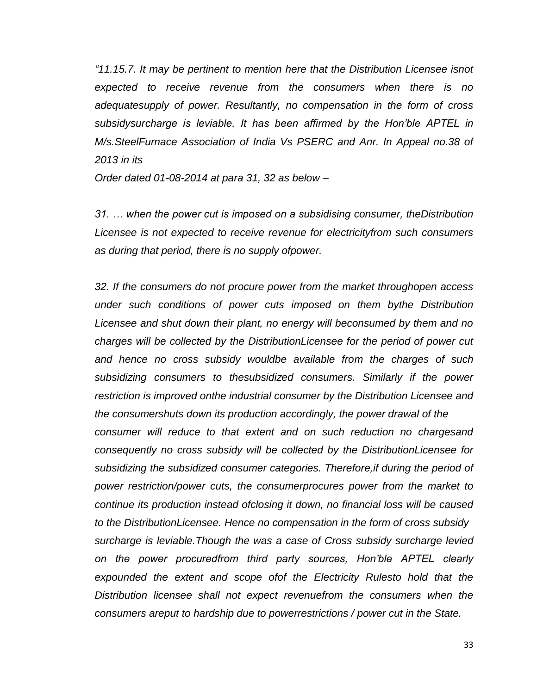*"11.15.7. It may be pertinent to mention here that the Distribution Licensee isnot expected to receive revenue from the consumers when there is no adequatesupply of power. Resultantly, no compensation in the form of cross subsidysurcharge is leviable. It has been affirmed by the Hon'ble APTEL in M/s.SteelFurnace Association of India Vs PSERC and Anr. In Appeal no.38 of 2013 in its*

*Order dated 01-08-2014 at para 31, 32 as below –*

*31. … when the power cut is imposed on a subsidising consumer, theDistribution Licensee is not expected to receive revenue for electricityfrom such consumers as during that period, there is no supply ofpower.*

*32. If the consumers do not procure power from the market throughopen access under such conditions of power cuts imposed on them bythe Distribution Licensee and shut down their plant, no energy will beconsumed by them and no charges will be collected by the DistributionLicensee for the period of power cut and hence no cross subsidy wouldbe available from the charges of such subsidizing consumers to thesubsidized consumers. Similarly if the power restriction is improved onthe industrial consumer by the Distribution Licensee and the consumershuts down its production accordingly, the power drawal of the consumer will reduce to that extent and on such reduction no chargesand consequently no cross subsidy will be collected by the DistributionLicensee for subsidizing the subsidized consumer categories. Therefore,if during the period of power restriction/power cuts, the consumerprocures power from the market to continue its production instead ofclosing it down, no financial loss will be caused to the DistributionLicensee. Hence no compensation in the form of cross subsidy surcharge is leviable.Though the was a case of Cross subsidy surcharge levied on the power procuredfrom third party sources, Hon'ble APTEL clearly expounded the extent and scope ofof the Electricity Rulesto hold that the Distribution licensee shall not expect revenuefrom the consumers when the consumers areput to hardship due to powerrestrictions / power cut in the State.*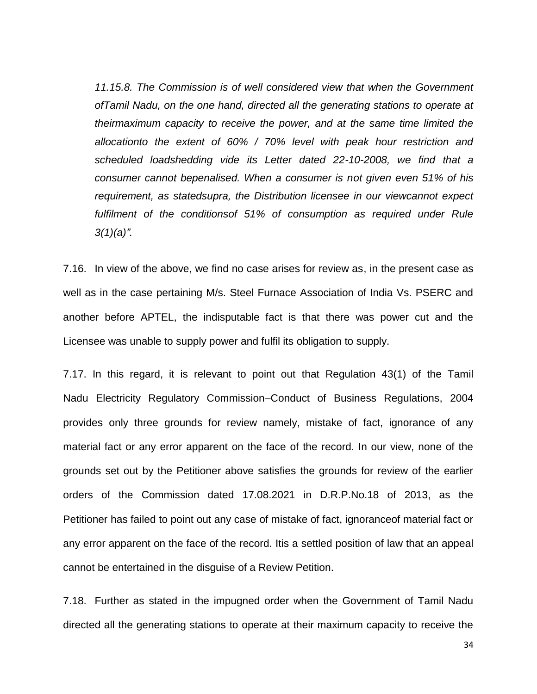*11.15.8. The Commission is of well considered view that when the Government ofTamil Nadu, on the one hand, directed all the generating stations to operate at theirmaximum capacity to receive the power, and at the same time limited the allocationto the extent of 60% / 70% level with peak hour restriction and scheduled loadshedding vide its Letter dated 22-10-2008, we find that a consumer cannot bepenalised. When a consumer is not given even 51% of his requirement, as statedsupra, the Distribution licensee in our viewcannot expect fulfilment of the conditionsof 51% of consumption as required under Rule 3(1)(a)".*

7.16. In view of the above, we find no case arises for review as, in the present case as well as in the case pertaining M/s. Steel Furnace Association of India Vs. PSERC and another before APTEL, the indisputable fact is that there was power cut and the Licensee was unable to supply power and fulfil its obligation to supply.

7.17. In this regard, it is relevant to point out that Regulation 43(1) of the Tamil Nadu Electricity Regulatory Commission–Conduct of Business Regulations, 2004 provides only three grounds for review namely, mistake of fact, ignorance of any material fact or any error apparent on the face of the record. In our view, none of the grounds set out by the Petitioner above satisfies the grounds for review of the earlier orders of the Commission dated 17.08.2021 in D.R.P.No.18 of 2013, as the Petitioner has failed to point out any case of mistake of fact, ignoranceof material fact or any error apparent on the face of the record. Itis a settled position of law that an appeal cannot be entertained in the disguise of a Review Petition.

7.18. Further as stated in the impugned order when the Government of Tamil Nadu directed all the generating stations to operate at their maximum capacity to receive the